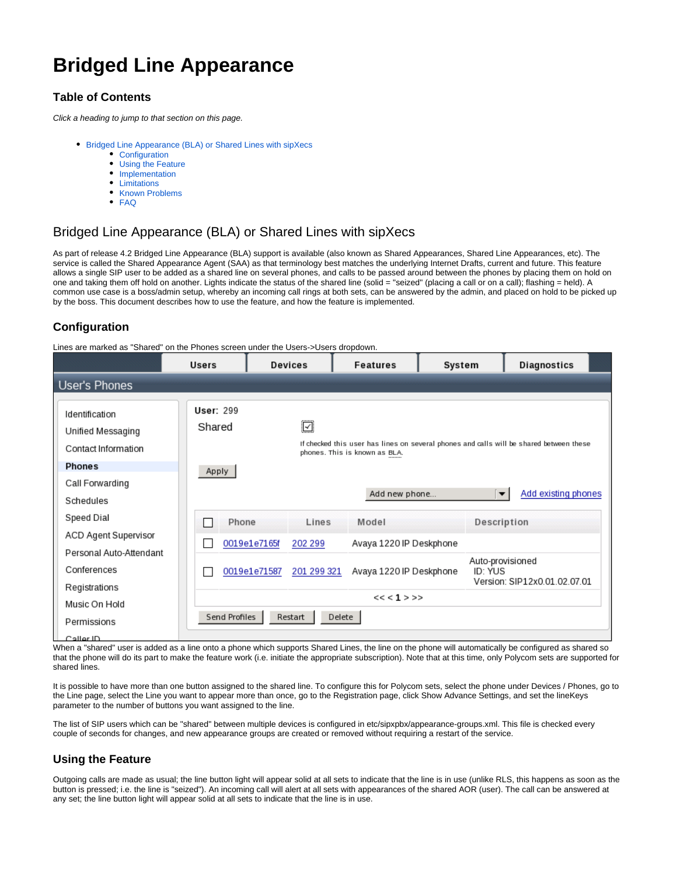# **Bridged Line Appearance**

# **Table of Contents**

Click a heading to jump to that section on this page.

- [Bridged Line Appearance \(BLA\) or Shared Lines with sipXecs](#page-0-0)
	- [Configuration](#page-0-1)
	- [Using the Feature](#page-0-2)
	- [Implementation](#page-1-0)
	- [Limitations](#page-1-1)
	- [Known Problems](#page-1-2)
	- [FAQ](#page-1-3)

# <span id="page-0-0"></span>Bridged Line Appearance (BLA) or Shared Lines with sipXecs

As part of release 4.2 Bridged Line Appearance (BLA) support is available (also known as Shared Appearances, Shared Line Appearances, etc). The service is called the Shared Appearance Agent (SAA) as that terminology best matches the underlying Internet Drafts, current and future. This feature allows a single SIP user to be added as a shared line on several phones, and calls to be passed around between the phones by placing them on hold on one and taking them off hold on another. Lights indicate the status of the shared line (solid = "seized" (placing a call or on a call); flashing = held). A common use case is a boss/admin setup, whereby an incoming call rings at both sets, can be answered by the admin, and placed on hold to be picked up by the boss. This document describes how to use the feature, and how the feature is implemented.

# <span id="page-0-1"></span>**Configuration**

Lines are marked as "Shared" on the Phones screen under the Users->Users dropdown.

|                                                            | <b>Users</b>               | <b>Devices</b>                     |             | <b>Features</b>                                                                                                          | System      | Diagnostics                                 |  |  |
|------------------------------------------------------------|----------------------------|------------------------------------|-------------|--------------------------------------------------------------------------------------------------------------------------|-------------|---------------------------------------------|--|--|
| User's Phones                                              |                            |                                    |             |                                                                                                                          |             |                                             |  |  |
| Identification<br>Unified Messaging<br>Contact Information | <b>User: 299</b><br>Shared |                                    | Ø           | If checked this user has lines on several phones and calls will be shared between these<br>phones. This is known as BLA. |             |                                             |  |  |
| <b>Phones</b>                                              | Apply                      |                                    |             |                                                                                                                          |             |                                             |  |  |
| Call Forwarding                                            |                            |                                    |             | Add new phone                                                                                                            |             | Add existing phones<br>$\blacktriangledown$ |  |  |
| Schedules                                                  |                            |                                    |             |                                                                                                                          |             |                                             |  |  |
| Speed Dial                                                 | Phone                      |                                    | Lines       | Model                                                                                                                    | Description |                                             |  |  |
| <b>ACD Agent Supervisor</b>                                |                            | 0019e1e7165f                       | 202 299     | Avaya 1220 IP Deskphone                                                                                                  |             |                                             |  |  |
| Personal Auto-Attendant                                    |                            |                                    |             |                                                                                                                          |             |                                             |  |  |
| Conferences                                                |                            | 0019e1e71587                       | 201 299 321 | Avaya 1220 IP Deskphone                                                                                                  | ID: YUS     | Auto-provisioned                            |  |  |
| Registrations                                              |                            |                                    |             |                                                                                                                          |             | Version: SIP12x0.01.02.07.01                |  |  |
| Music On Hold                                              |                            | $<< <1>$ > >>                      |             |                                                                                                                          |             |                                             |  |  |
| Permissions                                                |                            | Send Profiles<br>Restart<br>Delete |             |                                                                                                                          |             |                                             |  |  |
| Caller ID.                                                 |                            |                                    |             |                                                                                                                          |             |                                             |  |  |

When a "shared" user is added as a line onto a phone which supports Shared Lines, the line on the phone will automatically be configured as shared so that the phone will do its part to make the feature work (i.e. initiate the appropriate subscription). Note that at this time, only Polycom sets are supported for shared lines.

It is possible to have more than one button assigned to the shared line. To configure this for Polycom sets, select the phone under Devices / Phones, go to the Line page, select the Line you want to appear more than once, go to the Registration page, click Show Advance Settings, and set the lineKeys parameter to the number of buttons you want assigned to the line.

The list of SIP users which can be "shared" between multiple devices is configured in etc/sipxpbx/appearance-groups.xml. This file is checked every couple of seconds for changes, and new appearance groups are created or removed without requiring a restart of the service.

## <span id="page-0-2"></span>**Using the Feature**

Outgoing calls are made as usual; the line button light will appear solid at all sets to indicate that the line is in use (unlike RLS, this happens as soon as the button is pressed; i.e. the line is "seized"). An incoming call will alert at all sets with appearances of the shared AOR (user). The call can be answered at any set; the line button light will appear solid at all sets to indicate that the line is in use.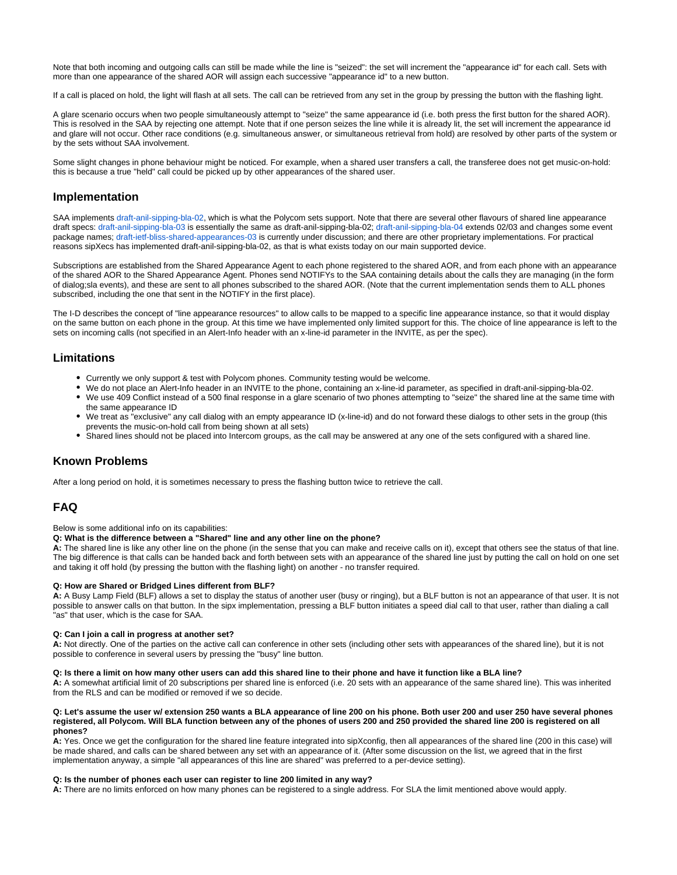Note that both incoming and outgoing calls can still be made while the line is "seized": the set will increment the "appearance id" for each call. Sets with more than one appearance of the shared AOR will assign each successive "appearance id" to a new button.

If a call is placed on hold, the light will flash at all sets. The call can be retrieved from any set in the group by pressing the button with the flashing light.

A glare scenario occurs when two people simultaneously attempt to "seize" the same appearance id (i.e. both press the first button for the shared AOR). This is resolved in the SAA by rejecting one attempt. Note that if one person seizes the line while it is already lit, the set will increment the appearance id and glare will not occur. Other race conditions (e.g. simultaneous answer, or simultaneous retrieval from hold) are resolved by other parts of the system or by the sets without SAA involvement.

Some slight changes in phone behaviour might be noticed. For example, when a shared user transfers a call, the transferee does not get music-on-hold: this is because a true "held" call could be picked up by other appearances of the shared user.

### <span id="page-1-0"></span>**Implementation**

SAA implements [draft-anil-sipping-bla-02](http://tools.ietf.org/id/draft-anil-sipping-bla-02.txt), which is what the Polycom sets support. Note that there are several other flavours of shared line appearance draft specs: [draft-anil-sipping-bla-03](http://tools.ietf.org/id/draft-anil-sipping-bla-03.txt) is essentially the same as draft-anil-sipping-bla-02; [draft-anil-sipping-bla-04](http://tools.ietf.org/id/draft-anil-sipping-bla-04.txt) extends 02/03 and changes some event package names; [draft-ietf-bliss-shared-appearances-03](http://tools.ietf.org/id/draft-ietf-bliss-shared-appearances-03.txt) is currently under discussion; and there are other proprietary implementations. For practical reasons sipXecs has implemented draft-anil-sipping-bla-02, as that is what exists today on our main supported device.

Subscriptions are established from the Shared Appearance Agent to each phone registered to the shared AOR, and from each phone with an appearance of the shared AOR to the Shared Appearance Agent. Phones send NOTIFYs to the SAA containing details about the calls they are managing (in the form of dialog;sla events), and these are sent to all phones subscribed to the shared AOR. (Note that the current implementation sends them to ALL phones subscribed, including the one that sent in the NOTIFY in the first place).

The I-D describes the concept of "line appearance resources" to allow calls to be mapped to a specific line appearance instance, so that it would display on the same button on each phone in the group. At this time we have implemented only limited support for this. The choice of line appearance is left to the sets on incoming calls (not specified in an Alert-Info header with an x-line-id parameter in the INVITE, as per the spec).

### <span id="page-1-1"></span>**Limitations**

- Currently we only support & test with Polycom phones. Community testing would be welcome.
- We do not place an Alert-Info header in an INVITE to the phone, containing an x-line-id parameter, as specified in draft-anil-sipping-bla-02. We use 409 Conflict instead of a 500 final response in a glare scenario of two phones attempting to "seize" the shared line at the same time with the same appearance ID
- We treat as "exclusive" any call dialog with an empty appearance ID (x-line-id) and do not forward these dialogs to other sets in the group (this prevents the music-on-hold call from being shown at all sets)
- Shared lines should not be placed into Intercom groups, as the call may be answered at any one of the sets configured with a shared line.

### <span id="page-1-2"></span>**Known Problems**

After a long period on hold, it is sometimes necessary to press the flashing button twice to retrieve the call.

### <span id="page-1-3"></span>**FAQ**

#### Below is some additional info on its capabilities:

#### **Q: What is the difference between a "Shared" line and any other line on the phone?**

**A:** The shared line is like any other line on the phone (in the sense that you can make and receive calls on it), except that others see the status of that line. The big difference is that calls can be handed back and forth between sets with an appearance of the shared line just by putting the call on hold on one set and taking it off hold (by pressing the button with the flashing light) on another - no transfer required.

#### **Q: How are Shared or Bridged Lines different from BLF?**

**A:** A Busy Lamp Field (BLF) allows a set to display the status of another user (busy or ringing), but a BLF button is not an appearance of that user. It is not possible to answer calls on that button. In the sipx implementation, pressing a BLF button initiates a speed dial call to that user, rather than dialing a call "as" that user, which is the case for SAA.

#### **Q: Can I join a call in progress at another set?**

**A:** Not directly. One of the parties on the active call can conference in other sets (including other sets with appearances of the shared line), but it is not possible to conference in several users by pressing the "busy" line button.

#### **Q: Is there a limit on how many other users can add this shared line to their phone and have it function like a BLA line?**

**A:** A somewhat artificial limit of 20 subscriptions per shared line is enforced (i.e. 20 sets with an appearance of the same shared line). This was inherited from the RLS and can be modified or removed if we so decide.

#### **Q: Let's assume the user w/ extension 250 wants a BLA appearance of line 200 on his phone. Both user 200 and user 250 have several phones registered, all Polycom. Will BLA function between any of the phones of users 200 and 250 provided the shared line 200 is registered on all phones?**

**A:** Yes. Once we get the configuration for the shared line feature integrated into sipXconfig, then all appearances of the shared line (200 in this case) will be made shared, and calls can be shared between any set with an appearance of it. (After some discussion on the list, we agreed that in the first implementation anyway, a simple "all appearances of this line are shared" was preferred to a per-device setting).

#### **Q: Is the number of phones each user can register to line 200 limited in any way?**

**A:** There are no limits enforced on how many phones can be registered to a single address. For SLA the limit mentioned above would apply.